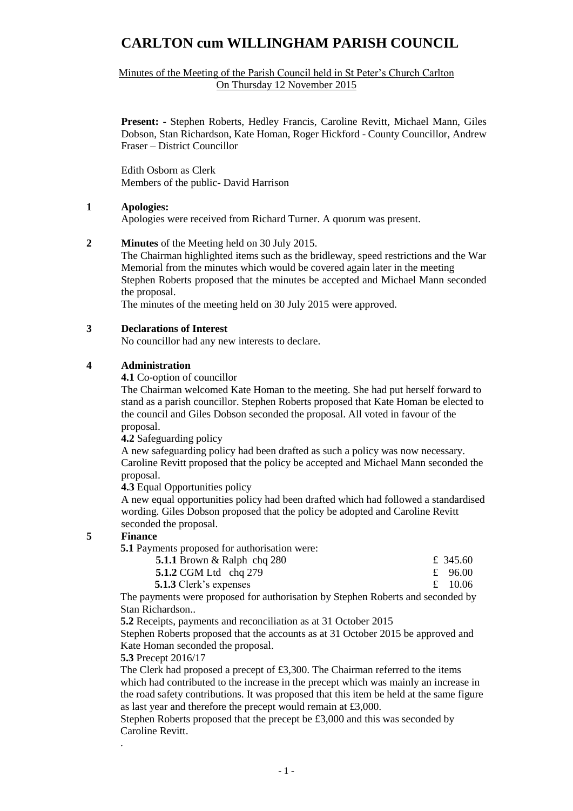Minutes of the Meeting of the Parish Council held in St Peter's Church Carlton On Thursday 12 November 2015

**Present:** - Stephen Roberts, Hedley Francis, Caroline Revitt, Michael Mann, Giles Dobson, Stan Richardson, Kate Homan, Roger Hickford - County Councillor, Andrew Fraser – District Councillor

Edith Osborn as Clerk Members of the public- David Harrison

## **1 Apologies:**

Apologies were received from Richard Turner. A quorum was present.

## **2 Minutes** of the Meeting held on 30 July 2015.

The Chairman highlighted items such as the bridleway, speed restrictions and the War Memorial from the minutes which would be covered again later in the meeting Stephen Roberts proposed that the minutes be accepted and Michael Mann seconded the proposal.

The minutes of the meeting held on 30 July 2015 were approved.

### **3 Declarations of Interest**

No councillor had any new interests to declare.

### **4 Administration**

**4.1** Co-option of councillor

The Chairman welcomed Kate Homan to the meeting. She had put herself forward to stand as a parish councillor. Stephen Roberts proposed that Kate Homan be elected to the council and Giles Dobson seconded the proposal. All voted in favour of the proposal.

**4.2** Safeguarding policy

A new safeguarding policy had been drafted as such a policy was now necessary. Caroline Revitt proposed that the policy be accepted and Michael Mann seconded the proposal.

**4.3** Equal Opportunities policy

A new equal opportunities policy had been drafted which had followed a standardised wording. Giles Dobson proposed that the policy be adopted and Caroline Revitt seconded the proposal.

### **5 Finance**

.

**5.1** Payments proposed for authorisation were:

| 5.1.1 Brown $&$ Ralph chq 280 | £ 345.60 |
|-------------------------------|----------|
| 5.1.2 CGM Ltd chq 279         | £ 96.00  |
| 5.1.3 Clerk's expenses        | £ 10.06  |

The payments were proposed for authorisation by Stephen Roberts and seconded by Stan Richardson..

**5.2** Receipts, payments and reconciliation as at 31 October 2015

Stephen Roberts proposed that the accounts as at 31 October 2015 be approved and Kate Homan seconded the proposal.

### **5.3** Precept 2016/17

The Clerk had proposed a precept of £3,300. The Chairman referred to the items which had contributed to the increase in the precept which was mainly an increase in the road safety contributions. It was proposed that this item be held at the same figure as last year and therefore the precept would remain at £3,000.

Stephen Roberts proposed that the precept be £3,000 and this was seconded by Caroline Revitt.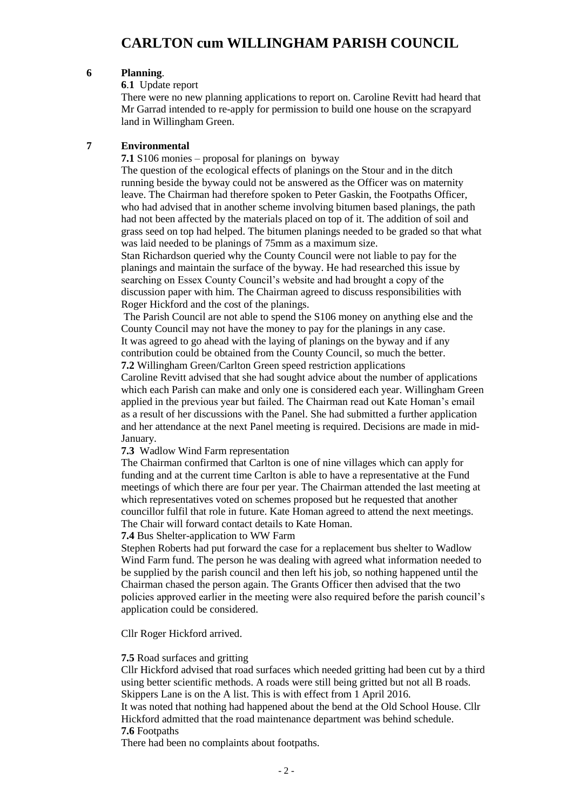## **6 Planning**.

**6**.**1** Update report

There were no new planning applications to report on. Caroline Revitt had heard that Mr Garrad intended to re-apply for permission to build one house on the scrapyard land in Willingham Green.

## **7 Environmental**

**7.1** S106 monies – proposal for planings on byway

The question of the ecological effects of planings on the Stour and in the ditch running beside the byway could not be answered as the Officer was on maternity leave. The Chairman had therefore spoken to Peter Gaskin, the Footpaths Officer, who had advised that in another scheme involving bitumen based planings, the path had not been affected by the materials placed on top of it. The addition of soil and grass seed on top had helped. The bitumen planings needed to be graded so that what was laid needed to be planings of 75mm as a maximum size.

Stan Richardson queried why the County Council were not liable to pay for the planings and maintain the surface of the byway. He had researched this issue by searching on Essex County Council's website and had brought a copy of the discussion paper with him. The Chairman agreed to discuss responsibilities with Roger Hickford and the cost of the planings.

The Parish Council are not able to spend the S106 money on anything else and the County Council may not have the money to pay for the planings in any case. It was agreed to go ahead with the laying of planings on the byway and if any contribution could be obtained from the County Council, so much the better. **7.2** Willingham Green/Carlton Green speed restriction applications

Caroline Revitt advised that she had sought advice about the number of applications which each Parish can make and only one is considered each year. Willingham Green applied in the previous year but failed. The Chairman read out Kate Homan's email as a result of her discussions with the Panel. She had submitted a further application and her attendance at the next Panel meeting is required. Decisions are made in mid-January.

**7.3** Wadlow Wind Farm representation

The Chairman confirmed that Carlton is one of nine villages which can apply for funding and at the current time Carlton is able to have a representative at the Fund meetings of which there are four per year. The Chairman attended the last meeting at which representatives voted on schemes proposed but he requested that another councillor fulfil that role in future. Kate Homan agreed to attend the next meetings. The Chair will forward contact details to Kate Homan.

**7.4** Bus Shelter-application to WW Farm

Stephen Roberts had put forward the case for a replacement bus shelter to Wadlow Wind Farm fund. The person he was dealing with agreed what information needed to be supplied by the parish council and then left his job, so nothing happened until the Chairman chased the person again. The Grants Officer then advised that the two policies approved earlier in the meeting were also required before the parish council's application could be considered.

Cllr Roger Hickford arrived.

### **7.5** Road surfaces and gritting

Cllr Hickford advised that road surfaces which needed gritting had been cut by a third using better scientific methods. A roads were still being gritted but not all B roads. Skippers Lane is on the A list. This is with effect from 1 April 2016.

It was noted that nothing had happened about the bend at the Old School House. Cllr Hickford admitted that the road maintenance department was behind schedule. **7.6** Footpaths

There had been no complaints about footpaths.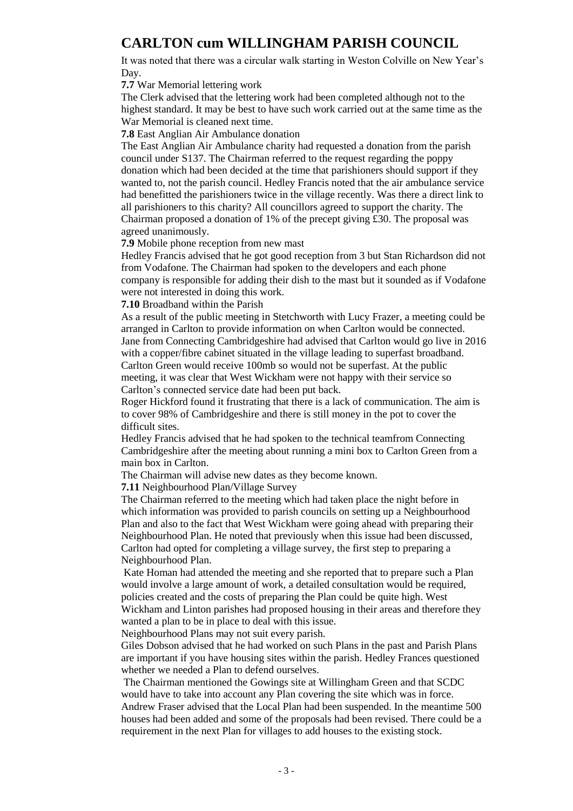It was noted that there was a circular walk starting in Weston Colville on New Year's Day.

**7.7** War Memorial lettering work

The Clerk advised that the lettering work had been completed although not to the highest standard. It may be best to have such work carried out at the same time as the War Memorial is cleaned next time.

**7.8** East Anglian Air Ambulance donation

The East Anglian Air Ambulance charity had requested a donation from the parish council under S137. The Chairman referred to the request regarding the poppy donation which had been decided at the time that parishioners should support if they wanted to, not the parish council. Hedley Francis noted that the air ambulance service had benefitted the parishioners twice in the village recently. Was there a direct link to all parishioners to this charity? All councillors agreed to support the charity. The Chairman proposed a donation of 1% of the precept giving £30. The proposal was agreed unanimously.

**7.9** Mobile phone reception from new mast

Hedley Francis advised that he got good reception from 3 but Stan Richardson did not from Vodafone. The Chairman had spoken to the developers and each phone company is responsible for adding their dish to the mast but it sounded as if Vodafone were not interested in doing this work.

**7.10** Broadband within the Parish

As a result of the public meeting in Stetchworth with Lucy Frazer, a meeting could be arranged in Carlton to provide information on when Carlton would be connected. Jane from Connecting Cambridgeshire had advised that Carlton would go live in 2016 with a copper/fibre cabinet situated in the village leading to superfast broadband. Carlton Green would receive 100mb so would not be superfast. At the public meeting, it was clear that West Wickham were not happy with their service so Carlton's connected service date had been put back.

Roger Hickford found it frustrating that there is a lack of communication. The aim is to cover 98% of Cambridgeshire and there is still money in the pot to cover the difficult sites.

Hedley Francis advised that he had spoken to the technical teamfrom Connecting Cambridgeshire after the meeting about running a mini box to Carlton Green from a main box in Carlton.

The Chairman will advise new dates as they become known.

**7.11** Neighbourhood Plan/Village Survey

The Chairman referred to the meeting which had taken place the night before in which information was provided to parish councils on setting up a Neighbourhood Plan and also to the fact that West Wickham were going ahead with preparing their Neighbourhood Plan. He noted that previously when this issue had been discussed, Carlton had opted for completing a village survey, the first step to preparing a Neighbourhood Plan.

Kate Homan had attended the meeting and she reported that to prepare such a Plan would involve a large amount of work, a detailed consultation would be required, policies created and the costs of preparing the Plan could be quite high. West Wickham and Linton parishes had proposed housing in their areas and therefore they wanted a plan to be in place to deal with this issue.

Neighbourhood Plans may not suit every parish.

Giles Dobson advised that he had worked on such Plans in the past and Parish Plans are important if you have housing sites within the parish. Hedley Frances questioned whether we needed a Plan to defend ourselves.

The Chairman mentioned the Gowings site at Willingham Green and that SCDC would have to take into account any Plan covering the site which was in force. Andrew Fraser advised that the Local Plan had been suspended. In the meantime 500 houses had been added and some of the proposals had been revised. There could be a requirement in the next Plan for villages to add houses to the existing stock.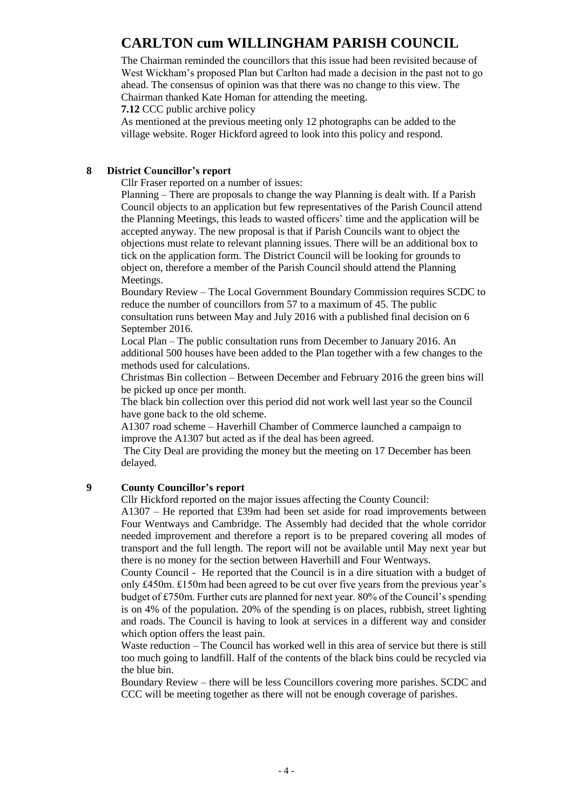The Chairman reminded the councillors that this issue had been revisited because of West Wickham's proposed Plan but Carlton had made a decision in the past not to go ahead. The consensus of opinion was that there was no change to this view. The Chairman thanked Kate Homan for attending the meeting.

**7.12** CCC public archive policy

As mentioned at the previous meeting only 12 photographs can be added to the village website. Roger Hickford agreed to look into this policy and respond.

## **8 District Councillor's report**

Cllr Fraser reported on a number of issues:

Planning – There are proposals to change the way Planning is dealt with. If a Parish Council objects to an application but few representatives of the Parish Council attend the Planning Meetings, this leads to wasted officers' time and the application will be accepted anyway. The new proposal is that if Parish Councils want to object the objections must relate to relevant planning issues. There will be an additional box to tick on the application form. The District Council will be looking for grounds to object on, therefore a member of the Parish Council should attend the Planning Meetings.

Boundary Review – The Local Government Boundary Commission requires SCDC to reduce the number of councillors from 57 to a maximum of 45. The public consultation runs between May and July 2016 with a published final decision on 6 September 2016.

Local Plan – The public consultation runs from December to January 2016. An additional 500 houses have been added to the Plan together with a few changes to the methods used for calculations.

Christmas Bin collection – Between December and February 2016 the green bins will be picked up once per month.

The black bin collection over this period did not work well last year so the Council have gone back to the old scheme.

A1307 road scheme – Haverhill Chamber of Commerce launched a campaign to improve the A1307 but acted as if the deal has been agreed.

The City Deal are providing the money but the meeting on 17 December has been delayed.

### **9 County Councillor's report**

Cllr Hickford reported on the major issues affecting the County Council:

A1307 – He reported that £39m had been set aside for road improvements between Four Wentways and Cambridge. The Assembly had decided that the whole corridor needed improvement and therefore a report is to be prepared covering all modes of transport and the full length. The report will not be available until May next year but there is no money for the section between Haverhill and Four Wentways.

County Council - He reported that the Council is in a dire situation with a budget of only £450m. £150m had been agreed to be cut over five years from the previous year's budget of £750m. Further cuts are planned for next year. 80% of the Council's spending is on 4% of the population. 20% of the spending is on places, rubbish, street lighting and roads. The Council is having to look at services in a different way and consider which option offers the least pain.

Waste reduction – The Council has worked well in this area of service but there is still too much going to landfill. Half of the contents of the black bins could be recycled via the blue bin.

Boundary Review – there will be less Councillors covering more parishes. SCDC and CCC will be meeting together as there will not be enough coverage of parishes.